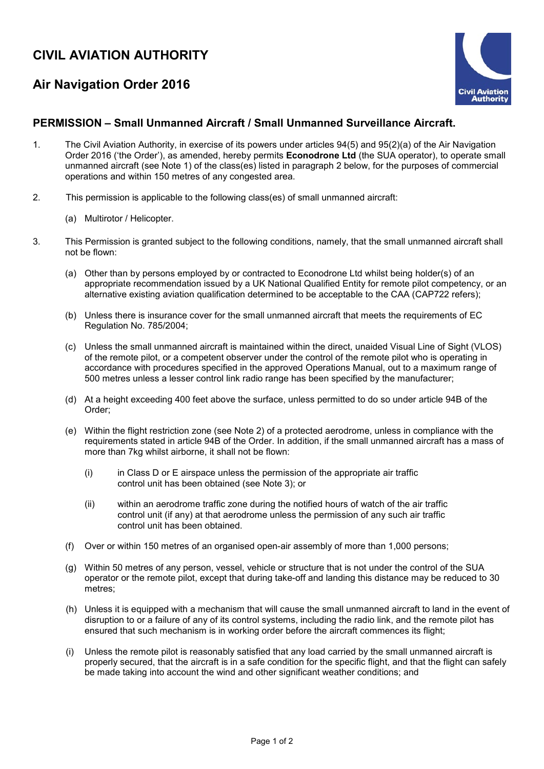## **CIVIL AVIATION AUTHORITY**

## **Air Navigation Order 2016**



## **PERMISSION – Small Unmanned Aircraft / Small Unmanned Surveillance Aircraft.**

- 1. The Civil Aviation Authority, in exercise of its powers under articles 94(5) and 95(2)(a) of the Air Navigation Order 2016 ('the Order'), as amended, hereby permits **Econodrone Ltd** (the SUA operator), to operate small unmanned aircraft (see Note 1) of the class(es) listed in paragraph 2 below, for the purposes of commercial operations and within 150 metres of any congested area.
- 2. This permission is applicable to the following class(es) of small unmanned aircraft:
	- (a) Multirotor / Helicopter.
- 3. This Permission is granted subject to the following conditions, namely, that the small unmanned aircraft shall not be flown:
	- (a) Other than by persons employed by or contracted to Econodrone Ltd whilst being holder(s) of an appropriate recommendation issued by a UK National Qualified Entity for remote pilot competency, or an alternative existing aviation qualification determined to be acceptable to the CAA (CAP722 refers);
	- (b) Unless there is insurance cover for the small unmanned aircraft that meets the requirements of EC Regulation No. 785/2004;
	- (c) Unless the small unmanned aircraft is maintained within the direct, unaided Visual Line of Sight (VLOS) of the remote pilot, or a competent observer under the control of the remote pilot who is operating in accordance with procedures specified in the approved Operations Manual, out to a maximum range of 500 metres unless a lesser control link radio range has been specified by the manufacturer;
	- (d) At a height exceeding 400 feet above the surface, unless permitted to do so under article 94B of the Order;
	- (e) Within the flight restriction zone (see Note 2) of a protected aerodrome, unless in compliance with the requirements stated in article 94B of the Order. In addition, if the small unmanned aircraft has a mass of more than 7kg whilst airborne, it shall not be flown:
		- (i) in Class D or E airspace unless the permission of the appropriate air traffic control unit has been obtained (see Note 3); or
		- (ii) within an aerodrome traffic zone during the notified hours of watch of the air traffic control unit (if any) at that aerodrome unless the permission of any such air traffic control unit has been obtained.
	- (f) Over or within 150 metres of an organised open-air assembly of more than 1,000 persons;
	- (g) Within 50 metres of any person, vessel, vehicle or structure that is not under the control of the SUA operator or the remote pilot, except that during take-off and landing this distance may be reduced to 30 metres;
	- (h) Unless it is equipped with a mechanism that will cause the small unmanned aircraft to land in the event of disruption to or a failure of any of its control systems, including the radio link, and the remote pilot has ensured that such mechanism is in working order before the aircraft commences its flight;
	- (i) Unless the remote pilot is reasonably satisfied that any load carried by the small unmanned aircraft is properly secured, that the aircraft is in a safe condition for the specific flight, and that the flight can safely be made taking into account the wind and other significant weather conditions; and